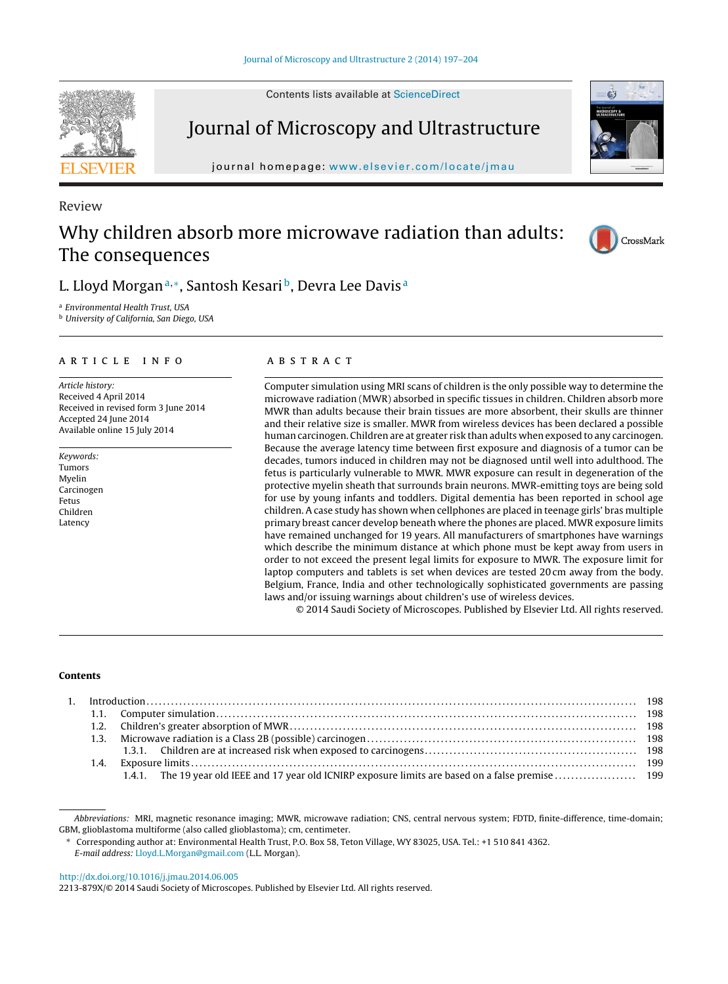Contents lists available at [ScienceDirect](http://www.sciencedirect.com/science/journal/2213879X)

# Journal of Microscopy and Ultrastructure

journal homepage: [www.elsevier.com/locate/jmau](http://www.elsevier.com/locate/jmau)

# Why children absorb more microwave radiation than adults: The consequences

# L. Lloyd Morgan<sup>a,∗</sup>, Santosh Kesari<sup>b</sup>, Devra Lee Davis<sup>a</sup>

a Environmental Health Trust, USA

<sup>b</sup> University of California, San Diego, USA

# a r t i c l e i n f o

Article history: Received 4 April 2014 Received in revised form 3 June 2014 Accepted 24 June 2014 Available online 15 July 2014

Keywords: Tumors Myelin Carcinogen Fetus Children Latency

# A B S T R A C T

Computer simulation using MRI scans of children is the only possible way to determine the microwave radiation (MWR) absorbed in specific tissues in children. Children absorb more MWR than adults because their brain tissues are more absorbent, their skulls are thinner and their relative size is smaller. MWR from wireless devices has been declared a possible human carcinogen. Children are at greater risk than adults when exposed to any carcinogen. Because the average latency time between first exposure and diagnosis of a tumor can be decades, tumors induced in children may not be diagnosed until well into adulthood. The fetus is particularly vulnerable to MWR. MWR exposure can result in degeneration of the protective myelin sheath that surrounds brain neurons. MWR-emitting toys are being sold for use by young infants and toddlers. Digital dementia has been reported in school age children. A case study has shown when cellphones are placed in teenage girls' bras multiple primary breast cancer develop beneath where the phones are placed. MWR exposure limits have remained unchanged for 19 years. All manufacturers of smartphones have warnings which describe the minimum distance at which phone must be kept away from users in order to not exceed the present legal limits for exposure to MWR. The exposure limit for laptop computers and tablets is set when devices are tested 20 cm away from the body. Belgium, France, India and other technologically sophisticated governments are passing laws and/or issuing warnings about children's use of wireless devices.

© 2014 Saudi Society of Microscopes. Published by Elsevier Ltd. All rights reserved.

#### **Contents**

Abbreviations: MRI, magnetic resonance imaging; MWR, microwave radiation; CNS, central nervous system; FDTD, finite-difference, time-domain; GBM, glioblastoma multiforme (also called glioblastoma); cm, centimeter.

∗ Corresponding author at: Environmental Health Trust, P.O. Box 58, Teton Village, WY 83025, USA. Tel.: +1 510 841 4362. E-mail address: [Lloyd.L.Morgan@gmail.com](mailto:Lloyd.L.Morgan@gmail.com) (L.L. Morgan).

[http://dx.doi.org/10.1016/j.jmau.2014.06.005](dx.doi.org/10.1016/j.jmau.2014.06.005)

2213-879X/© 2014 Saudi Society of Microscopes. Published by Elsevier Ltd. All rights reserved.







Review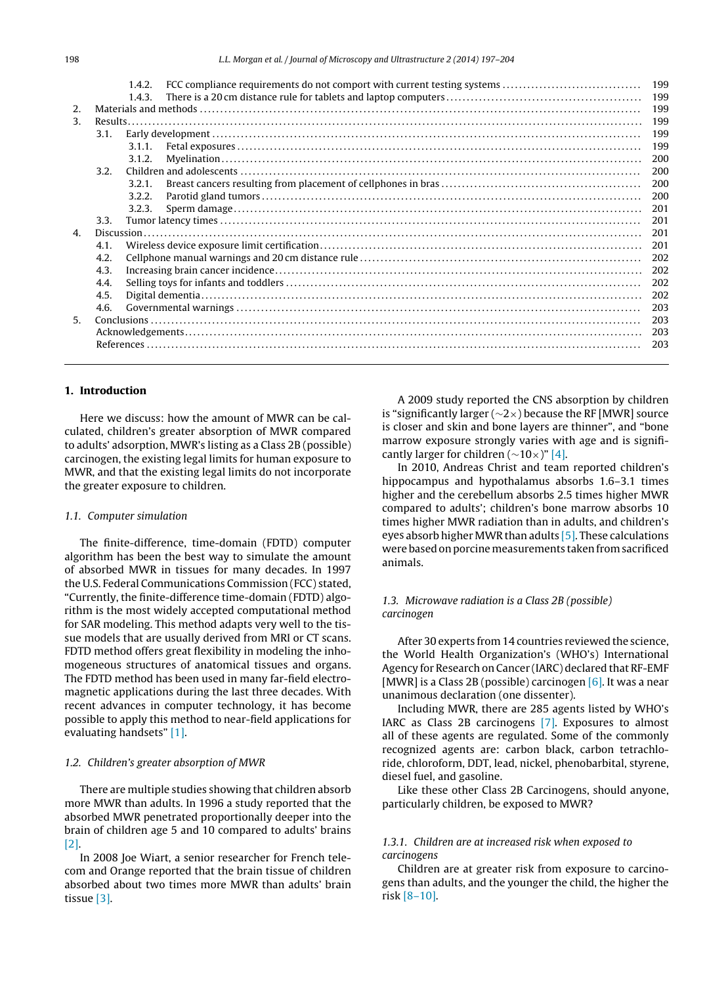|              |                  | 1.4.2. |  | 199        |  |  |  |  |
|--------------|------------------|--------|--|------------|--|--|--|--|
|              |                  | 1.4.3. |  | 199        |  |  |  |  |
| 2.           |                  |        |  |            |  |  |  |  |
| 3.           |                  |        |  |            |  |  |  |  |
|              | 3.1.             |        |  |            |  |  |  |  |
|              |                  | 3.1.1. |  | 199<br>199 |  |  |  |  |
|              |                  | 3.1.2. |  | 200        |  |  |  |  |
|              | 3.2 <sub>1</sub> |        |  | 200        |  |  |  |  |
|              |                  | 3.2.1  |  | 200        |  |  |  |  |
|              |                  | 3.2.2. |  | 200        |  |  |  |  |
|              |                  | 3.2.3. |  | 201        |  |  |  |  |
|              | 3.3.             |        |  | 201        |  |  |  |  |
| $\mathbf{4}$ |                  |        |  | 201        |  |  |  |  |
|              | 4.1.             |        |  |            |  |  |  |  |
|              | 4.2.             |        |  |            |  |  |  |  |
|              | 4.3.             |        |  |            |  |  |  |  |
|              | 4.4.             |        |  |            |  |  |  |  |
|              | 4.5.             |        |  | 202        |  |  |  |  |
|              | 4.6.             |        |  | 203        |  |  |  |  |
| 5.           |                  |        |  |            |  |  |  |  |
|              | 203              |        |  |            |  |  |  |  |
|              | 203              |        |  |            |  |  |  |  |
|              |                  |        |  |            |  |  |  |  |

# **1. Introduction**

Here we discuss: how the amount of MWR can be calculated, children's greater absorption of MWR compared to adults' adsorption, MWR's listing as a Class 2B (possible) carcinogen, the existing legal limits for human exposure to MWR, and that the existing legal limits do not incorporate the greater exposure to children.

#### 1.1. Computer simulation

The finite-difference, time-domain (FDTD) computer algorithm has been the best way to simulate the amount of absorbed MWR in tissues for many decades. In 1997 the U.S. Federal Communications Commission (FCC) stated, "Currently, the finite-difference time-domain (FDTD) algorithm is the most widely accepted computational method for SAR modeling. This method adapts very well to the tissue models that are usually derived from MRI or CT scans. FDTD method offers great flexibility in modeling the inhomogeneous structures of anatomical tissues and organs. The FDTD method has been used in many far-field electromagnetic applications during the last three decades. With recent advances in computer technology, it has become possible to apply this method to near-field applications for evaluating handsets" [\[1\].](#page-6-0)

#### 1.2. Children's greater absorption of MWR

There are multiple studies showing that children absorb more MWR than adults. In 1996 a study reported that the absorbed MWR penetrated proportionally deeper into the brain of children age 5 and 10 compared to adults' brains [\[2\].](#page-6-0)

In 2008 Joe Wiart, a senior researcher for French telecom and Orange reported that the brain tissue of children absorbed about two times more MWR than adults' brain tissue [\[3\].](#page-6-0)

A 2009 study reported the CNS absorption by children is "significantly larger (∼2×) because the RF [MWR] source is closer and skin and bone layers are thinner", and "bone marrow exposure strongly varies with age and is significantly larger for children ( $\sim$ 10×)" [\[4\].](#page-6-0)

In 2010, Andreas Christ and team reported children's hippocampus and hypothalamus absorbs 1.6–3.1 times higher and the cerebellum absorbs 2.5 times higher MWR compared to adults'; children's bone marrow absorbs 10 times higher MWR radiation than in adults, and children's eyes absorb higher MWR than adults [\[5\].](#page-6-0) These calculations were based on porcine measurements taken from sacrificed animals.

# 1.3. Microwave radiation is a Class 2B (possible) carcinogen

After 30 experts from 14 countries reviewed the science, the World Health Organization's (WHO's) International Agency for Research on Cancer (IARC) declared that RF-EMF [MWR] is a Class 2B (possible) carcinogen  $[6]$ . It was a near unanimous declaration (one dissenter).

Including MWR, there are 285 agents listed by WHO's IARC as Class 2B carcinogens [\[7\].](#page-6-0) Exposures to almost all of these agents are regulated. Some of the commonly recognized agents are: carbon black, carbon tetrachloride, chloroform, DDT, lead, nickel, phenobarbital, styrene, diesel fuel, and gasoline.

Like these other Class 2B Carcinogens, should anyone, particularly children, be exposed to MWR?

# 1.3.1. Children are at increased risk when exposed to carcinogens

Children are at greater risk from exposure to carcinogens than adults, and the younger the child, the higher the risk [\[8–10\].](#page-6-0)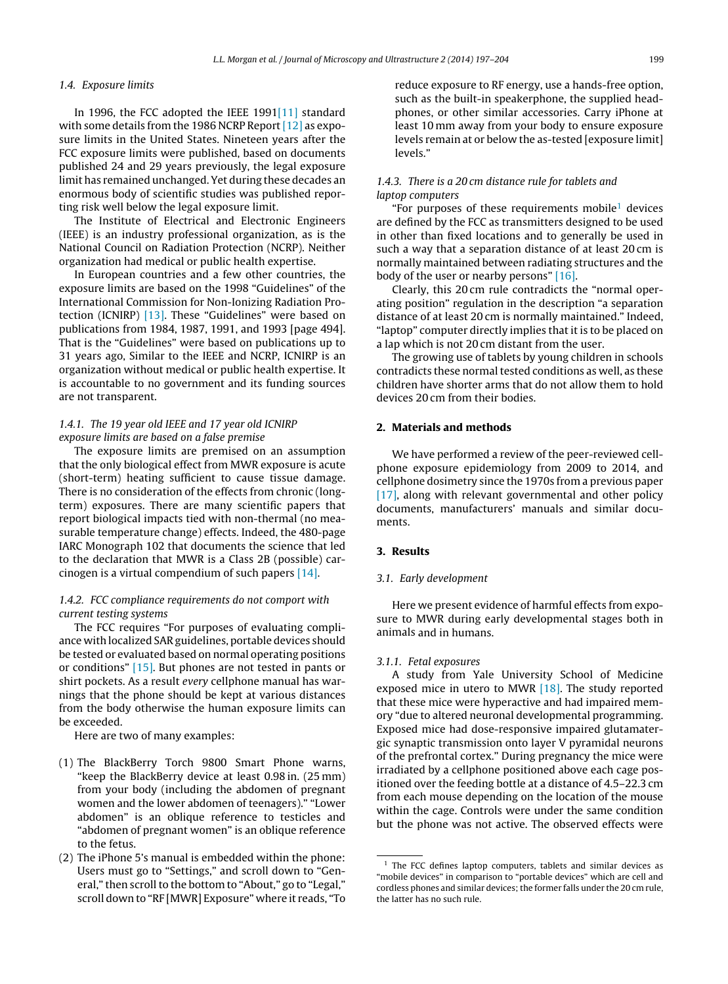# 1.4. Exposure limits

In 1996, the FCC adopted the IEEE 1991[\[11\]](#page-6-0) standard with some details from the 1986 NCRP Report [\[12\]](#page-6-0) as exposure limits in the United States. Nineteen years after the FCC exposure limits were published, based on documents published 24 and 29 years previously, the legal exposure limit has remained unchanged. Yet during these decades an enormous body of scientific studies was published reporting risk well below the legal exposure limit.

The Institute of Electrical and Electronic Engineers (IEEE) is an industry professional organization, as is the National Council on Radiation Protection (NCRP). Neither organization had medical or public health expertise.

In European countries and a few other countries, the exposure limits are based on the 1998 "Guidelines" of the International Commission for Non-Ionizing Radiation Protection (ICNIRP) [\[13\].](#page-7-0) These "Guidelines" were based on publications from 1984, 1987, 1991, and 1993 [page 494]. That is the "Guidelines" were based on publications up to 31 years ago, Similar to the IEEE and NCRP, ICNIRP is an organization without medical or public health expertise. It is accountable to no government and its funding sources are not transparent.

#### 1.4.1. The 19 year old IEEE and 17 year old ICNIRP exposure limits are based on a false premise

The exposure limits are premised on an assumption that the only biological effect from MWR exposure is acute (short-term) heating sufficient to cause tissue damage. There is no consideration of the effects from chronic (longterm) exposures. There are many scientific papers that report biological impacts tied with non-thermal (no measurable temperature change) effects. Indeed, the 480-page IARC Monograph 102 that documents the science that led to the declaration that MWR is a Class 2B (possible) carcinogen is a virtual compendium of such papers [\[14\].](#page-7-0)

# 1.4.2. FCC compliance requirements do not comport with current testing systems

The FCC requires "For purposes of evaluating compliance with localized SAR guidelines, portable devices should be tested or evaluated based on normal operating positions or conditions" [\[15\].](#page-7-0) But phones are not tested in pants or shirt pockets. As a result every cellphone manual has warnings that the phone should be kept at various distances from the body otherwise the human exposure limits can be exceeded.

Here are two of many examples:

- (1) The BlackBerry Torch 9800 Smart Phone warns, "keep the BlackBerry device at least 0.98 in. (25 mm) from your body (including the abdomen of pregnant women and the lower abdomen of teenagers)." "Lower abdomen" is an oblique reference to testicles and "abdomen of pregnant women" is an oblique reference to the fetus.
- (2) The iPhone 5's manual is embedded within the phone: Users must go to "Settings," and scroll down to "General," then scroll to the bottom to "About," go to "Legal," scroll down to "RF [MWR] Exposure" where it reads, "To

reduce exposure to RF energy, use a hands-free option, such as the built-in speakerphone, the supplied headphones, or other similar accessories. Carry iPhone at least 10 mm away from your body to ensure exposure levels remain at or below the as-tested [exposure limit] levels."

# 1.4.3. There is a 20 cm distance rule for tablets and laptop computers

"For purposes of these requirements mobile<sup>1</sup> devices are defined by the FCC as transmitters designed to be used in other than fixed locations and to generally be used in such a way that a separation distance of at least 20 cm is normally maintained between radiating structures and the body of the user or nearby persons" [\[16\].](#page-7-0)

Clearly, this 20 cm rule contradicts the "normal operating position" regulation in the description "a separation distance of at least 20 cm is normally maintained." Indeed, "laptop" computer directly implies that it is to be placed on a lap which is not 20 cm distant from the user.

The growing use of tablets by young children in schools contradicts these normal tested conditions as well, as these children have shorter arms that do not allow them to hold devices 20 cm from their bodies.

#### **2. Materials and methods**

We have performed a review of the peer-reviewed cellphone exposure epidemiology from 2009 to 2014, and cellphone dosimetry since the 1970s from a previous paper [\[17\],](#page-7-0) along with relevant governmental and other policy documents, manufacturers' manuals and similar documents.

# **3. Results**

# 3.1. Early development

Here we present evidence of harmful effects from exposure to MWR during early developmental stages both in animals and in humans.

#### 3.1.1. Fetal exposures

A study from Yale University School of Medicine exposed mice in utero to MWR [\[18\].](#page-7-0) The study reported that these mice were hyperactive and had impaired memory "due to altered neuronal developmental programming. Exposed mice had dose-responsive impaired glutamatergic synaptic transmission onto layer V pyramidal neurons of the prefrontal cortex." During pregnancy the mice were irradiated by a cellphone positioned above each cage positioned over the feeding bottle at a distance of 4.5–22.3 cm from each mouse depending on the location of the mouse within the cage. Controls were under the same condition but the phone was not active. The observed effects were

<sup>&</sup>lt;sup>1</sup> The FCC defines laptop computers, tablets and similar devices as "mobile devices" in comparison to "portable devices" which are cell and cordless phones and similar devices; the former falls under the 20 cm rule, the latter has no such rule.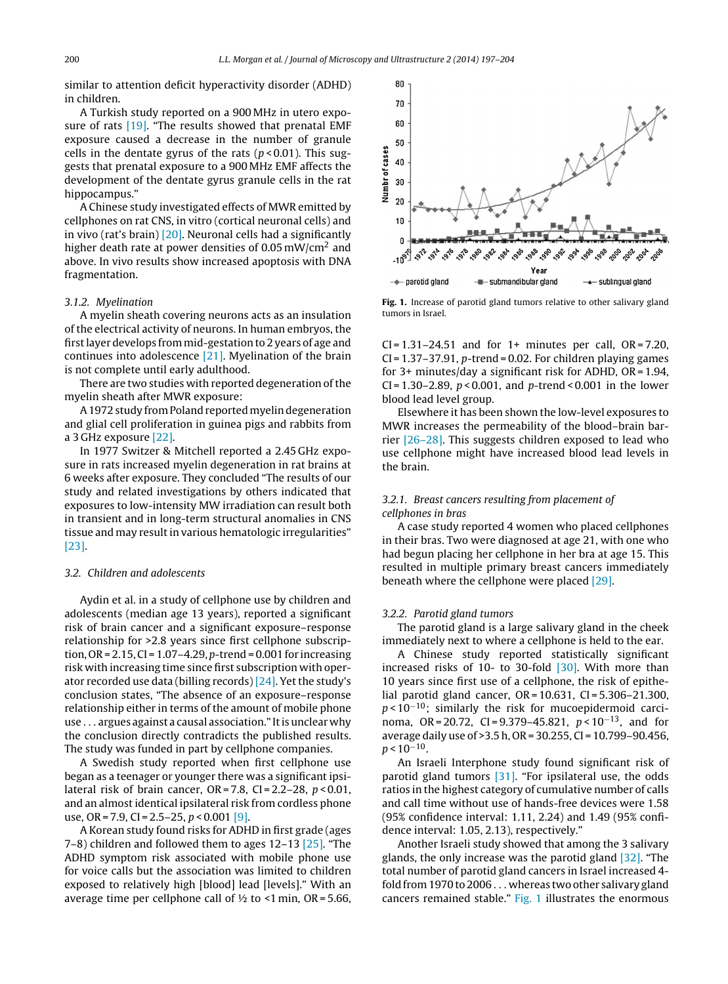similar to attention deficit hyperactivity disorder (ADHD) in children.

A Turkish study reported on a 900 MHz in utero expo-sure of rats [\[19\].](#page-7-0) "The results showed that prenatal EMF exposure caused a decrease in the number of granule cells in the dentate gyrus of the rats ( $p < 0.01$ ). This suggests that prenatal exposure to a 900 MHz EMF affects the development of the dentate gyrus granule cells in the rat hippocampus."

A Chinese study investigated effects of MWR emitted by cellphones on rat CNS, in vitro (cortical neuronal cells) and in vivo (rat's brain)  $[20]$ . Neuronal cells had a significantly higher death rate at power densities of 0.05 mW/cm<sup>2</sup> and above. In vivo results show increased apoptosis with DNA fragmentation.

#### 3.1.2. Myelination

A myelin sheath covering neurons acts as an insulation of the electrical activity of neurons. In human embryos, the firstlayer develops frommid-gestation to 2 years of age and continues into adolescence [\[21\].](#page-7-0) Myelination of the brain is not complete until early adulthood.

There are two studies with reported degeneration of the myelin sheath after MWR exposure:

A1972study fromPolandreportedmyelindegeneration and glial cell proliferation in guinea pigs and rabbits from a 3 GHz exposure [\[22\].](#page-7-0)

In 1977 Switzer & Mitchell reported a 2.45 GHz exposure in rats increased myelin degeneration in rat brains at 6 weeks after exposure. They concluded "The results of our study and related investigations by others indicated that exposures to low-intensity MW irradiation can result both in transient and in long-term structural anomalies in CNS tissue and may result in various hematologic irregularities" [\[23\].](#page-7-0)

# 3.2. Children and adolescents

Aydin et al. in a study of cellphone use by children and adolescents (median age 13 years), reported a significant risk of brain cancer and a significant exposure–response relationship for >2.8 years since first cellphone subscription,  $OR = 2.15$ ,  $CI = 1.07 - 4.29$ ,  $p$ -trend = 0.001 for increasing risk with increasing time since first subscription with operator recorded use data (billing records)  $[24]$ . Yet the study's conclusion states, "The absence of an exposure–response relationship either in terms of the amount of mobile phone use . . . argues against a causal association." Itisunclear why the conclusion directly contradicts the published results. The study was funded in part by cellphone companies.

A Swedish study reported when first cellphone use began as a teenager or younger there was a significant ipsilateral risk of brain cancer,  $OR = 7.8$ ,  $CI = 2.2 - 28$ ,  $p < 0.01$ , and an almost identical ipsilateral risk from cordless phone use, OR = 7.9, CI = 2.5–25,  $p < 0.001$  [\[9\].](#page-6-0)

A Korean study found risks for ADHD in first grade (ages 7–8) children and followed them to ages 12–13 [\[25\].](#page-7-0) "The ADHD symptom risk associated with mobile phone use for voice calls but the association was limited to children exposed to relatively high [blood] lead [levels]." With an average time per cellphone call of  $\frac{1}{2}$  to <1 min, OR = 5.66,



**Fig. 1.** Increase of parotid gland tumors relative to other salivary gland tumors in Israel.

 $CI = 1.31 - 24.51$  and for 1+ minutes per call,  $OR = 7.20$ ,  $CI = 1.37 - 37.91$ ,  $p$ -trend = 0.02. For children playing games for 3+ minutes/day a significant risk for ADHD, OR = 1.94,  $CI = 1.30 - 2.89$ ,  $p < 0.001$ , and p-trend < 0.001 in the lower blood lead level group.

Elsewhere it has been shown the low-level exposures to MWR increases the permeability of the blood–brain barrier [\[26–28\].](#page-7-0) This suggests children exposed to lead who use cellphone might have increased blood lead levels in the brain.

# 3.2.1. Breast cancers resulting from placement of cellphones in bras

A case study reported 4 women who placed cellphones in their bras. Two were diagnosed at age 21, with one who had begun placing her cellphone in her bra at age 15. This resulted in multiple primary breast cancers immediately beneath where the cellphone were placed [\[29\].](#page-7-0)

# 3.2.2. Parotid gland tumors

The parotid gland is a large salivary gland in the cheek immediately next to where a cellphone is held to the ear.

A Chinese study reported statistically significant increased risks of 10- to 30-fold [\[30\].](#page-7-0) With more than 10 years since first use of a cellphone, the risk of epithelial parotid gland cancer, OR = 10.631, CI = 5.306–21.300, p < 10−10; similarly the risk for mucoepidermoid carcinoma, OR = 20.72, CI = 9.379–45.821,  $p < 10^{-13}$ , and for average daily use of >3.5 h, OR = 30.255, CI = 10.799–90.456,  $p < 10^{-10}$ .

An Israeli Interphone study found significant risk of parotid gland tumors [\[31\].](#page-7-0) "For ipsilateral use, the odds ratios in the highest category of cumulative number of calls and call time without use of hands-free devices were 1.58 (95% confidence interval: 1.11, 2.24) and 1.49 (95% confidence interval: 1.05, 2.13), respectively."

Another Israeli study showed that among the 3 salivary glands, the only increase was the parotid gland [\[32\].](#page-7-0) "The total number of parotid gland cancers in Israel increased 4 fold from1970 to 2006 . . . whereas two other salivary gland cancers remained stable." Fig. 1 illustrates the enormous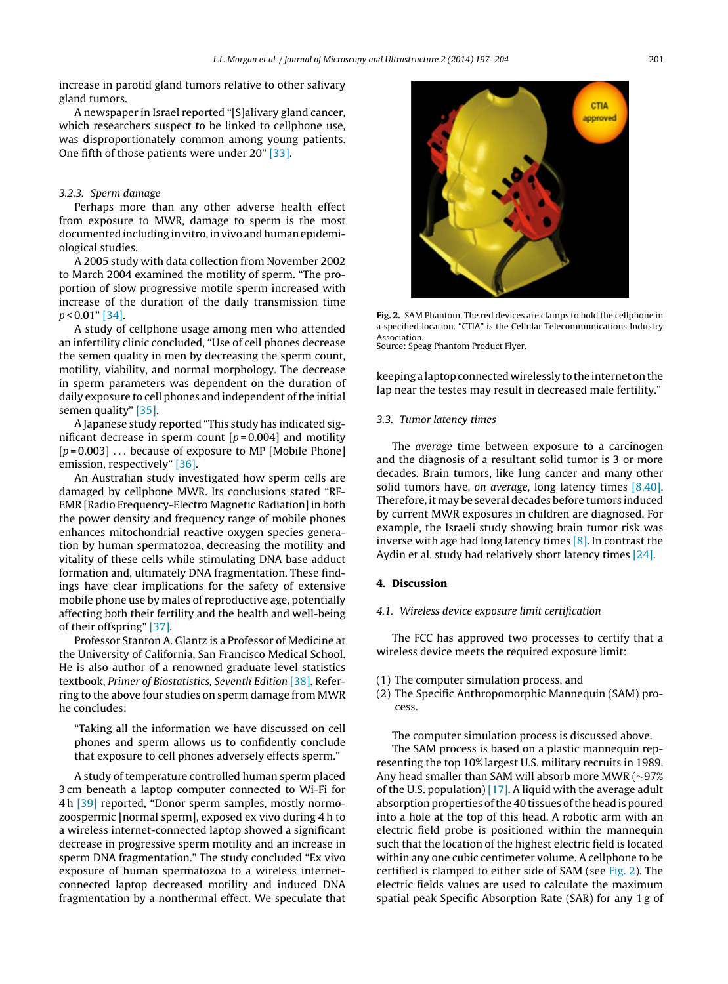increase in parotid gland tumors relative to other salivary gland tumors.

A newspaper in Israel reported "[S]alivary gland cancer, which researchers suspect to be linked to cellphone use, was disproportionately common among young patients. One fifth of those patients were under 20" [\[33\].](#page-7-0)

#### 3.2.3. Sperm damage

Perhaps more than any other adverse health effect from exposure to MWR, damage to sperm is the most documented including in vitro, in vivo and human epidemiological studies.

A 2005 study with data collection from November 2002 to March 2004 examined the motility of sperm. "The proportion of slow progressive motile sperm increased with increase of the duration of the daily transmission time p < 0.01" [\[34\].](#page-7-0)

A study of cellphone usage among men who attended an infertility clinic concluded, "Use of cell phones decrease the semen quality in men by decreasing the sperm count, motility, viability, and normal morphology. The decrease in sperm parameters was dependent on the duration of daily exposure to cell phones and independent of the initial semen quality" [\[35\].](#page-7-0)

A Japanese study reported "This study has indicated significant decrease in sperm count  $[p=0.004]$  and motility  $[p=0.003]$  ... because of exposure to MP [Mobile Phone] emission, respectively" [\[36\].](#page-7-0)

An Australian study investigated how sperm cells are damaged by cellphone MWR. Its conclusions stated "RF-EMR [Radio Frequency-Electro Magnetic Radiation] in both the power density and frequency range of mobile phones enhances mitochondrial reactive oxygen species generation by human spermatozoa, decreasing the motility and vitality of these cells while stimulating DNA base adduct formation and, ultimately DNA fragmentation. These findings have clear implications for the safety of extensive mobile phone use by males of reproductive age, potentially affecting both their fertility and the health and well-being of their offspring" [\[37\].](#page-7-0)

Professor Stanton A. Glantz is a Professor of Medicine at the University of California, San Francisco Medical School. He is also author of a renowned graduate level statistics textbook, Primer of Biostatistics, Seventh Edition [\[38\].](#page-7-0) Referring to the above four studies on sperm damage from MWR he concludes:

"Taking all the information we have discussed on cell phones and sperm allows us to confidently conclude that exposure to cell phones adversely effects sperm."

A study of temperature controlled human sperm placed 3 cm beneath a laptop computer connected to Wi-Fi for 4 h [\[39\]](#page-7-0) reported, "Donor sperm samples, mostly normozoospermic [normal sperm], exposed ex vivo during 4 h to a wireless internet-connected laptop showed a significant decrease in progressive sperm motility and an increase in sperm DNA fragmentation." The study concluded "Ex vivo exposure of human spermatozoa to a wireless internetconnected laptop decreased motility and induced DNA fragmentation by a nonthermal effect. We speculate that



**Fig. 2.** SAM Phantom. The red devices are clamps to hold the cellphone in a specified location. "CTIA" is the Cellular Telecommunications Industry Association. Source: Speag Phantom Product Flyer.

keeping a laptop connected wirelessly to the internet on the lap near the testes may result in decreased male fertility."

#### 3.3. Tumor latency times

The average time between exposure to a carcinogen and the diagnosis of a resultant solid tumor is 3 or more decades. Brain tumors, like lung cancer and many other solid tumors have, on average, long latency times [\[8,40\].](#page-6-0) Therefore, it may be several decades before tumors induced by current MWR exposures in children are diagnosed. For example, the Israeli study showing brain tumor risk was inverse with age had long latency times  $[8]$ . In contrast the Aydin et al. study had relatively short latency times [\[24\].](#page-7-0)

#### **4. Discussion**

4.1. Wireless device exposure limit certification

The FCC has approved two processes to certify that a wireless device meets the required exposure limit:

- (1) The computer simulation process, and
- (2) The Specific Anthropomorphic Mannequin (SAM) process.

The computer simulation process is discussed above.

The SAM process is based on a plastic mannequin representing the top 10% largest U.S. military recruits in 1989. Any head smaller than SAM will absorb more MWR (∼97% of the U.S. population)  $[17]$ . A liquid with the average adult absorption properties of the 40 tissues of the head is poured into a hole at the top of this head. A robotic arm with an electric field probe is positioned within the mannequin such that the location of the highest electric field is located within any one cubic centimeter volume. A cellphone to be certified is clamped to either side of SAM (see Fig. 2). The electric fields values are used to calculate the maximum spatial peak Specific Absorption Rate (SAR) for any 1 g of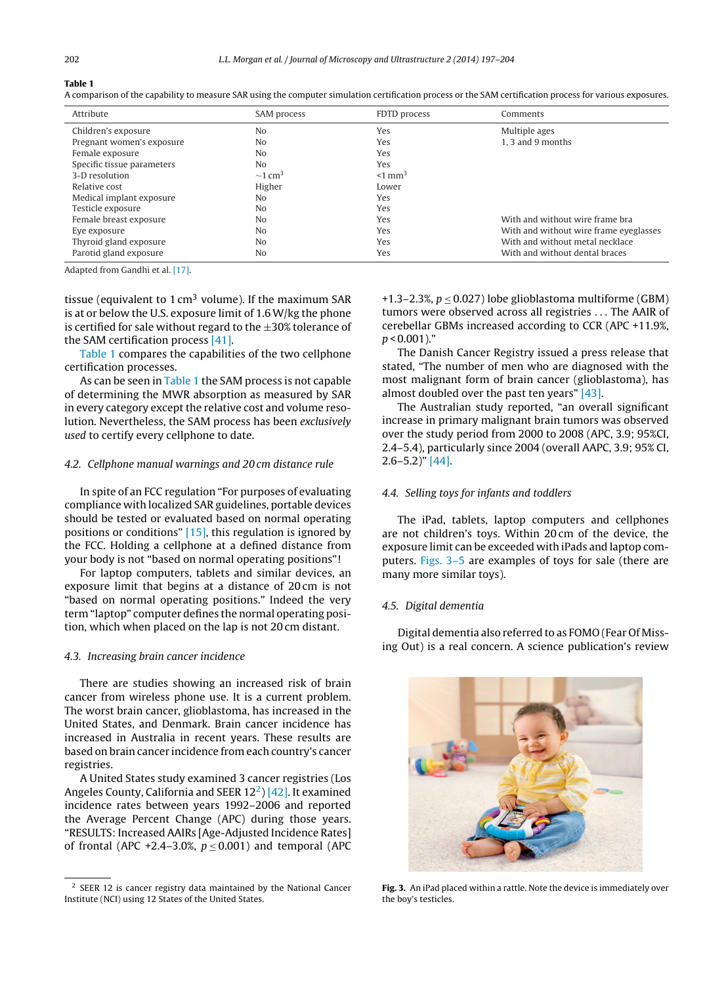#### **Table 1**

A comparison of the capability to measure SAR using the computer simulation certification process or the SAM certification process for various exposures.

| Attribute                  | SAM process              | FDTD process          | Comments                               |
|----------------------------|--------------------------|-----------------------|----------------------------------------|
| Children's exposure        | No                       | Yes                   | Multiple ages                          |
| Pregnant women's exposure  | No                       | Yes                   | 1.3 and 9 months                       |
| Female exposure            | No                       | Yes                   |                                        |
| Specific tissue parameters | No                       | Yes                   |                                        |
| 3-D resolution             | $\sim$ 1 cm <sup>3</sup> | $<$ 1 mm <sup>3</sup> |                                        |
| Relative cost              | Higher                   | Lower                 |                                        |
| Medical implant exposure   | No                       | Yes                   |                                        |
| Testicle exposure          | N <sub>0</sub>           | Yes                   |                                        |
| Female breast exposure     | No                       | Yes                   | With and without wire frame bra        |
| Eye exposure               | No                       | Yes                   | With and without wire frame eyeglasses |
| Thyroid gland exposure     | No                       | Yes                   | With and without metal necklace        |
| Parotid gland exposure     | No                       | Yes                   | With and without dental braces         |

Adapted from Gandhi et al. [\[17\].](#page-7-0)

tissue (equivalent to  $1 \text{ cm}^3$  volume). If the maximum SAR is at or below the U.S. exposure limit of 1.6W/kg the phone is certified for sale without regard to the  $\pm 30\%$  tolerance of the SAM certification process [\[41\].](#page-7-0)

Table 1 compares the capabilities of the two cellphone certification processes.

As can be seen in Table 1 the SAM process is not capable of determining the MWR absorption as measured by SAR in every category except the relative cost and volume resolution. Nevertheless, the SAM process has been exclusively used to certify every cellphone to date.

#### 4.2. Cellphone manual warnings and 20 cm distance rule

In spite of an FCC regulation "For purposes of evaluating compliance with localized SAR guidelines, portable devices should be tested or evaluated based on normal operating positions or conditions" [\[15\],](#page-7-0) this regulation is ignored by the FCC. Holding a cellphone at a defined distance from your body is not "based on normal operating positions"!

For laptop computers, tablets and similar devices, an exposure limit that begins at a distance of 20 cm is not "based on normal operating positions." Indeed the very term "laptop" computer defines the normal operating position, which when placed on the lap is not 20 cm distant.

#### 4.3. Increasing brain cancer incidence

There are studies showing an increased risk of brain cancer from wireless phone use. It is a current problem. The worst brain cancer, glioblastoma, has increased in the United States, and Denmark. Brain cancer incidence has increased in Australia in recent years. These results are based on brain cancer incidence from each country's cancer registries.

A United States study examined 3 cancer registries (Los Angeles County, California and SEER  $12<sup>2</sup>$  [\[42\].](#page-7-0) It examined incidence rates between years 1992–2006 and reported the Average Percent Change (APC) during those years. "RESULTS: Increased AAIRs [Age-Adjusted Incidence Rates] of frontal (APC +2.4–3.0%,  $p \le 0.001$ ) and temporal (APC

+1.3–2.3%,  $p \le 0.027$ ) lobe glioblastoma multiforme (GBM) tumors were observed across all registries . . . The AAIR of cerebellar GBMs increased according to CCR (APC +11.9%,  $p < 0.001$ )."

The Danish Cancer Registry issued a press release that stated, "The number of men who are diagnosed with the most malignant form of brain cancer (glioblastoma), has almost doubled over the past ten years" [\[43\].](#page-7-0)

The Australian study reported, "an overall significant increase in primary malignant brain tumors was observed over the study period from 2000 to 2008 (APC, 3.9; 95%CI, 2.4–5.4), particularly since 2004 (overall AAPC, 3.9; 95% CI, 2.6–5.2)" [\[44\].](#page-7-0)

#### 4.4. Selling toys for infants and toddlers

The iPad, tablets, laptop computers and cellphones are not children's toys. Within 20 cm of the device, the exposure limit can be exceeded with iPads and laptop computers. Figs. 3–5 are examples of toys for sale (there are many more similar toys).

#### 4.5. Digital dementia

Digital dementia also referred to as FOMO (Fear Of Missing Out) is a real concern. A science publication's review



**Fig. 3.** An iPad placed within a rattle. Note the device is immediately over the boy's testicles.

<sup>2</sup> SEER 12 is cancer registry data maintained by the National Cancer Institute (NCI) using 12 States of the United States.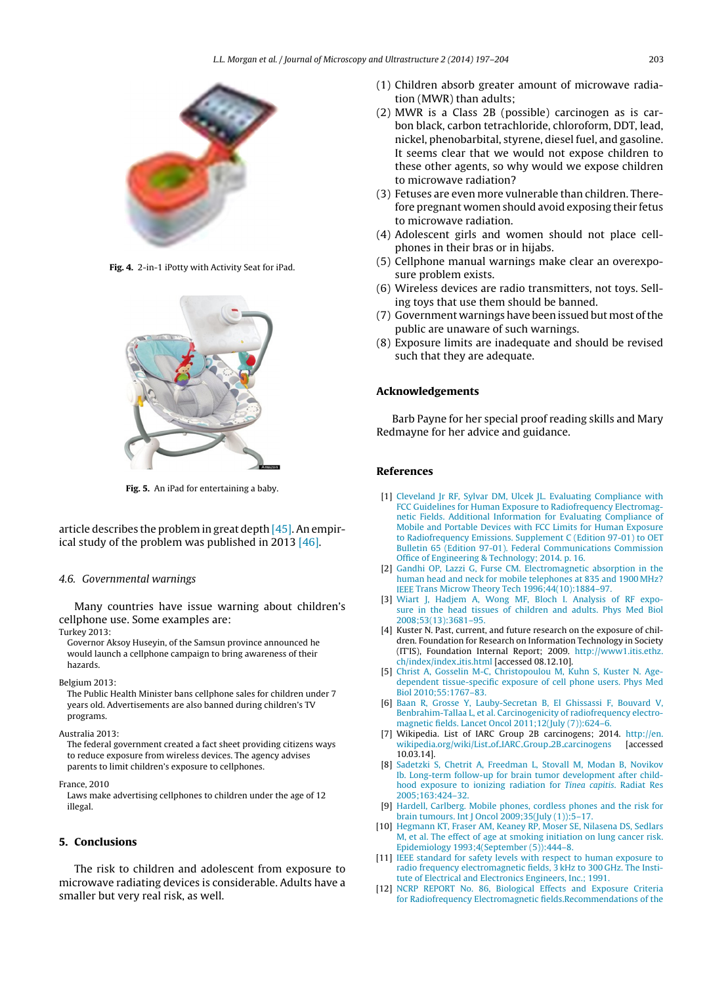<span id="page-6-0"></span>

**Fig. 4.** 2-in-1 iPotty with Activity Seat for iPad.



**Fig. 5.** An iPad for entertaining a baby.

article describes the problem in great depth [\[45\].](#page-7-0) An empirical study of the problem was published in 2013 [\[46\].](#page-7-0)

#### 4.6. Governmental warnings

Many countries have issue warning about children's cellphone use. Some examples are:

Turkey 2013:

Governor Aksoy Huseyin, of the Samsun province announced he would launch a cellphone campaign to bring awareness of their hazards.

Belgium 2013:

The Public Health Minister bans cellphone sales for children under 7 years old. Advertisements are also banned during children's TV programs.

Australia 2013:

The federal government created a fact sheet providing citizens ways to reduce exposure from wireless devices. The agency advises parents to limit children's exposure to cellphones.

France, 2010

Laws make advertising cellphones to children under the age of 12 illegal.

# **5. Conclusions**

The risk to children and adolescent from exposure to microwave radiating devices is considerable. Adults have a smaller but very real risk, as well.

- (1) Children absorb greater amount of microwave radiation (MWR) than adults;
- (2) MWR is a Class 2B (possible) carcinogen as is carbon black, carbon tetrachloride, chloroform, DDT, lead, nickel, phenobarbital, styrene, diesel fuel, and gasoline. It seems clear that we would not expose children to these other agents, so why would we expose children to microwave radiation?
- (3) Fetuses are even more vulnerable than children. Therefore pregnant women should avoid exposing their fetus to microwave radiation.
- (4) Adolescent girls and women should not place cellphones in their bras or in hijabs.
- (5) Cellphone manual warnings make clear an overexposure problem exists.
- (6) Wireless devices are radio transmitters, not toys. Selling toys that use them should be banned.
- (7) Government warnings have been issued but most ofthe public are unaware of such warnings.
- (8) Exposure limits are inadequate and should be revised such that they are adequate.

#### **Acknowledgements**

Barb Payne for her special proof reading skills and Mary Redmayne for her advice and guidance.

#### **References**

- [1] [Cleveland](http://refhub.elsevier.com/S2213-879X(14)00058-3/sbref0005) [Jr](http://refhub.elsevier.com/S2213-879X(14)00058-3/sbref0005) [RF,](http://refhub.elsevier.com/S2213-879X(14)00058-3/sbref0005) [Sylvar](http://refhub.elsevier.com/S2213-879X(14)00058-3/sbref0005) [DM,](http://refhub.elsevier.com/S2213-879X(14)00058-3/sbref0005) [Ulcek](http://refhub.elsevier.com/S2213-879X(14)00058-3/sbref0005) [JL.](http://refhub.elsevier.com/S2213-879X(14)00058-3/sbref0005) [Evaluating](http://refhub.elsevier.com/S2213-879X(14)00058-3/sbref0005) [Compliance](http://refhub.elsevier.com/S2213-879X(14)00058-3/sbref0005) [with](http://refhub.elsevier.com/S2213-879X(14)00058-3/sbref0005) [FCC](http://refhub.elsevier.com/S2213-879X(14)00058-3/sbref0005) [Guidelines](http://refhub.elsevier.com/S2213-879X(14)00058-3/sbref0005) [for](http://refhub.elsevier.com/S2213-879X(14)00058-3/sbref0005) [Human](http://refhub.elsevier.com/S2213-879X(14)00058-3/sbref0005) [Exposure](http://refhub.elsevier.com/S2213-879X(14)00058-3/sbref0005) [to](http://refhub.elsevier.com/S2213-879X(14)00058-3/sbref0005) [Radiofrequency](http://refhub.elsevier.com/S2213-879X(14)00058-3/sbref0005) [Electromag](http://refhub.elsevier.com/S2213-879X(14)00058-3/sbref0005)[netic](http://refhub.elsevier.com/S2213-879X(14)00058-3/sbref0005) [Fields.](http://refhub.elsevier.com/S2213-879X(14)00058-3/sbref0005) [Additional](http://refhub.elsevier.com/S2213-879X(14)00058-3/sbref0005) [Information](http://refhub.elsevier.com/S2213-879X(14)00058-3/sbref0005) [for](http://refhub.elsevier.com/S2213-879X(14)00058-3/sbref0005) [Evaluating](http://refhub.elsevier.com/S2213-879X(14)00058-3/sbref0005) [Compliance](http://refhub.elsevier.com/S2213-879X(14)00058-3/sbref0005) [of](http://refhub.elsevier.com/S2213-879X(14)00058-3/sbref0005) [Mobile](http://refhub.elsevier.com/S2213-879X(14)00058-3/sbref0005) [and](http://refhub.elsevier.com/S2213-879X(14)00058-3/sbref0005) [Portable](http://refhub.elsevier.com/S2213-879X(14)00058-3/sbref0005) [Devices](http://refhub.elsevier.com/S2213-879X(14)00058-3/sbref0005) [with](http://refhub.elsevier.com/S2213-879X(14)00058-3/sbref0005) [FCC](http://refhub.elsevier.com/S2213-879X(14)00058-3/sbref0005) [Limits](http://refhub.elsevier.com/S2213-879X(14)00058-3/sbref0005) [for](http://refhub.elsevier.com/S2213-879X(14)00058-3/sbref0005) [Human](http://refhub.elsevier.com/S2213-879X(14)00058-3/sbref0005) [Exposure](http://refhub.elsevier.com/S2213-879X(14)00058-3/sbref0005) [to](http://refhub.elsevier.com/S2213-879X(14)00058-3/sbref0005) [Radiofrequency](http://refhub.elsevier.com/S2213-879X(14)00058-3/sbref0005) [Emissions.](http://refhub.elsevier.com/S2213-879X(14)00058-3/sbref0005) [Supplement](http://refhub.elsevier.com/S2213-879X(14)00058-3/sbref0005) [C](http://refhub.elsevier.com/S2213-879X(14)00058-3/sbref0005) [\(Edition](http://refhub.elsevier.com/S2213-879X(14)00058-3/sbref0005) [97-01\)](http://refhub.elsevier.com/S2213-879X(14)00058-3/sbref0005) [to](http://refhub.elsevier.com/S2213-879X(14)00058-3/sbref0005) [OET](http://refhub.elsevier.com/S2213-879X(14)00058-3/sbref0005) [Bulletin](http://refhub.elsevier.com/S2213-879X(14)00058-3/sbref0005) [65](http://refhub.elsevier.com/S2213-879X(14)00058-3/sbref0005) [\(Edition](http://refhub.elsevier.com/S2213-879X(14)00058-3/sbref0005) [97-01\).](http://refhub.elsevier.com/S2213-879X(14)00058-3/sbref0005) [Federal](http://refhub.elsevier.com/S2213-879X(14)00058-3/sbref0005) [Communications](http://refhub.elsevier.com/S2213-879X(14)00058-3/sbref0005) [Commission](http://refhub.elsevier.com/S2213-879X(14)00058-3/sbref0005) [Office](http://refhub.elsevier.com/S2213-879X(14)00058-3/sbref0005) [of](http://refhub.elsevier.com/S2213-879X(14)00058-3/sbref0005) [Engineering](http://refhub.elsevier.com/S2213-879X(14)00058-3/sbref0005) [&](http://refhub.elsevier.com/S2213-879X(14)00058-3/sbref0005) [Technology;](http://refhub.elsevier.com/S2213-879X(14)00058-3/sbref0005) [2014.](http://refhub.elsevier.com/S2213-879X(14)00058-3/sbref0005) [p.](http://refhub.elsevier.com/S2213-879X(14)00058-3/sbref0005) [16.](http://refhub.elsevier.com/S2213-879X(14)00058-3/sbref0005)
- [2] [Gandhi](http://refhub.elsevier.com/S2213-879X(14)00058-3/sbref0010) [OP,](http://refhub.elsevier.com/S2213-879X(14)00058-3/sbref0010) [Lazzi](http://refhub.elsevier.com/S2213-879X(14)00058-3/sbref0010) [G,](http://refhub.elsevier.com/S2213-879X(14)00058-3/sbref0010) [Furse](http://refhub.elsevier.com/S2213-879X(14)00058-3/sbref0010) [CM.](http://refhub.elsevier.com/S2213-879X(14)00058-3/sbref0010) [Electromagnetic](http://refhub.elsevier.com/S2213-879X(14)00058-3/sbref0010) [absorption](http://refhub.elsevier.com/S2213-879X(14)00058-3/sbref0010) [in](http://refhub.elsevier.com/S2213-879X(14)00058-3/sbref0010) [the](http://refhub.elsevier.com/S2213-879X(14)00058-3/sbref0010) [human](http://refhub.elsevier.com/S2213-879X(14)00058-3/sbref0010) [head](http://refhub.elsevier.com/S2213-879X(14)00058-3/sbref0010) [and](http://refhub.elsevier.com/S2213-879X(14)00058-3/sbref0010) [neck](http://refhub.elsevier.com/S2213-879X(14)00058-3/sbref0010) [for](http://refhub.elsevier.com/S2213-879X(14)00058-3/sbref0010) [mobile](http://refhub.elsevier.com/S2213-879X(14)00058-3/sbref0010) [telephones](http://refhub.elsevier.com/S2213-879X(14)00058-3/sbref0010) [at](http://refhub.elsevier.com/S2213-879X(14)00058-3/sbref0010) [835](http://refhub.elsevier.com/S2213-879X(14)00058-3/sbref0010) [and](http://refhub.elsevier.com/S2213-879X(14)00058-3/sbref0010) [1900](http://refhub.elsevier.com/S2213-879X(14)00058-3/sbref0010) [MHz?](http://refhub.elsevier.com/S2213-879X(14)00058-3/sbref0010) [IEEE](http://refhub.elsevier.com/S2213-879X(14)00058-3/sbref0010) [Trans](http://refhub.elsevier.com/S2213-879X(14)00058-3/sbref0010) [Microw](http://refhub.elsevier.com/S2213-879X(14)00058-3/sbref0010) [Theory](http://refhub.elsevier.com/S2213-879X(14)00058-3/sbref0010) [Tech](http://refhub.elsevier.com/S2213-879X(14)00058-3/sbref0010) [1996;44\(10\):1884–97.](http://refhub.elsevier.com/S2213-879X(14)00058-3/sbref0010)
- [3] [Wiart](http://refhub.elsevier.com/S2213-879X(14)00058-3/sbref0015) [J,](http://refhub.elsevier.com/S2213-879X(14)00058-3/sbref0015) [Hadjem](http://refhub.elsevier.com/S2213-879X(14)00058-3/sbref0015) [A,](http://refhub.elsevier.com/S2213-879X(14)00058-3/sbref0015) [Wong](http://refhub.elsevier.com/S2213-879X(14)00058-3/sbref0015) [MF,](http://refhub.elsevier.com/S2213-879X(14)00058-3/sbref0015) [Bloch](http://refhub.elsevier.com/S2213-879X(14)00058-3/sbref0015) [I.](http://refhub.elsevier.com/S2213-879X(14)00058-3/sbref0015) [Analysis](http://refhub.elsevier.com/S2213-879X(14)00058-3/sbref0015) [of](http://refhub.elsevier.com/S2213-879X(14)00058-3/sbref0015) [RF](http://refhub.elsevier.com/S2213-879X(14)00058-3/sbref0015) [expo](http://refhub.elsevier.com/S2213-879X(14)00058-3/sbref0015)[sure](http://refhub.elsevier.com/S2213-879X(14)00058-3/sbref0015) [in](http://refhub.elsevier.com/S2213-879X(14)00058-3/sbref0015) [the](http://refhub.elsevier.com/S2213-879X(14)00058-3/sbref0015) [head](http://refhub.elsevier.com/S2213-879X(14)00058-3/sbref0015) [tissues](http://refhub.elsevier.com/S2213-879X(14)00058-3/sbref0015) [of](http://refhub.elsevier.com/S2213-879X(14)00058-3/sbref0015) [children](http://refhub.elsevier.com/S2213-879X(14)00058-3/sbref0015) [and](http://refhub.elsevier.com/S2213-879X(14)00058-3/sbref0015) [adults.](http://refhub.elsevier.com/S2213-879X(14)00058-3/sbref0015) [Phys](http://refhub.elsevier.com/S2213-879X(14)00058-3/sbref0015) [Med](http://refhub.elsevier.com/S2213-879X(14)00058-3/sbref0015) [Biol](http://refhub.elsevier.com/S2213-879X(14)00058-3/sbref0015) [2008;53\(13\):3681–95.](http://refhub.elsevier.com/S2213-879X(14)00058-3/sbref0015)
- [4] Kuster N. Past, current, and future research on the exposure of children. Foundation for Research on Information Technology in Society (IT'IS), Foundation Internal Report; 2009. [http://www1.itis.ethz.](http://www1.itis.ethz.ch/index/index_itis.html) [ch/index/index](http://www1.itis.ethz.ch/index/index_itis.html) itis.html [accessed 08.12.10].
- [5] [Christ](http://refhub.elsevier.com/S2213-879X(14)00058-3/sbref0025) [A,](http://refhub.elsevier.com/S2213-879X(14)00058-3/sbref0025) [Gosselin](http://refhub.elsevier.com/S2213-879X(14)00058-3/sbref0025) [M-C,](http://refhub.elsevier.com/S2213-879X(14)00058-3/sbref0025) [Christopoulou](http://refhub.elsevier.com/S2213-879X(14)00058-3/sbref0025) [M,](http://refhub.elsevier.com/S2213-879X(14)00058-3/sbref0025) [Kuhn](http://refhub.elsevier.com/S2213-879X(14)00058-3/sbref0025) [S,](http://refhub.elsevier.com/S2213-879X(14)00058-3/sbref0025) [Kuster](http://refhub.elsevier.com/S2213-879X(14)00058-3/sbref0025) [N.](http://refhub.elsevier.com/S2213-879X(14)00058-3/sbref0025) [Age](http://refhub.elsevier.com/S2213-879X(14)00058-3/sbref0025)[dependent](http://refhub.elsevier.com/S2213-879X(14)00058-3/sbref0025) [tissue-specific](http://refhub.elsevier.com/S2213-879X(14)00058-3/sbref0025) [exposure](http://refhub.elsevier.com/S2213-879X(14)00058-3/sbref0025) [of](http://refhub.elsevier.com/S2213-879X(14)00058-3/sbref0025) [cell](http://refhub.elsevier.com/S2213-879X(14)00058-3/sbref0025) [phone](http://refhub.elsevier.com/S2213-879X(14)00058-3/sbref0025) [users.](http://refhub.elsevier.com/S2213-879X(14)00058-3/sbref0025) [Phys](http://refhub.elsevier.com/S2213-879X(14)00058-3/sbref0025) [Med](http://refhub.elsevier.com/S2213-879X(14)00058-3/sbref0025) [Biol](http://refhub.elsevier.com/S2213-879X(14)00058-3/sbref0025) [2010;55:1767](http://refhub.elsevier.com/S2213-879X(14)00058-3/sbref0025)–[83.](http://refhub.elsevier.com/S2213-879X(14)00058-3/sbref0025)
- [6] [Baan](http://refhub.elsevier.com/S2213-879X(14)00058-3/sbref0030) [R,](http://refhub.elsevier.com/S2213-879X(14)00058-3/sbref0030) [Grosse](http://refhub.elsevier.com/S2213-879X(14)00058-3/sbref0030) [Y,](http://refhub.elsevier.com/S2213-879X(14)00058-3/sbref0030) [Lauby-Secretan](http://refhub.elsevier.com/S2213-879X(14)00058-3/sbref0030) [B,](http://refhub.elsevier.com/S2213-879X(14)00058-3/sbref0030) [El](http://refhub.elsevier.com/S2213-879X(14)00058-3/sbref0030) [Ghissassi](http://refhub.elsevier.com/S2213-879X(14)00058-3/sbref0030) [F,](http://refhub.elsevier.com/S2213-879X(14)00058-3/sbref0030) [Bouvard](http://refhub.elsevier.com/S2213-879X(14)00058-3/sbref0030) [V,](http://refhub.elsevier.com/S2213-879X(14)00058-3/sbref0030) [Benbrahim-Tallaa](http://refhub.elsevier.com/S2213-879X(14)00058-3/sbref0030) [L,](http://refhub.elsevier.com/S2213-879X(14)00058-3/sbref0030) [et](http://refhub.elsevier.com/S2213-879X(14)00058-3/sbref0030) [al.](http://refhub.elsevier.com/S2213-879X(14)00058-3/sbref0030) [Carcinogenicity](http://refhub.elsevier.com/S2213-879X(14)00058-3/sbref0030) [of](http://refhub.elsevier.com/S2213-879X(14)00058-3/sbref0030) [radiofrequency](http://refhub.elsevier.com/S2213-879X(14)00058-3/sbref0030) [electro](http://refhub.elsevier.com/S2213-879X(14)00058-3/sbref0030)[magnetic](http://refhub.elsevier.com/S2213-879X(14)00058-3/sbref0030) [fields.](http://refhub.elsevier.com/S2213-879X(14)00058-3/sbref0030) [Lancet](http://refhub.elsevier.com/S2213-879X(14)00058-3/sbref0030) [Oncol](http://refhub.elsevier.com/S2213-879X(14)00058-3/sbref0030) [2011;12\(July](http://refhub.elsevier.com/S2213-879X(14)00058-3/sbref0030) [\(7\)\):624–6.](http://refhub.elsevier.com/S2213-879X(14)00058-3/sbref0030)
- [7] Wikipedia. List of IARC Group 2B carcinogens; 2014. [http://en.](http://en.wikipedia.org/wiki/List_of_IARC_Group_2B_carcinogens) [wikipedia.org/wiki/List](http://en.wikipedia.org/wiki/List_of_IARC_Group_2B_carcinogens)\_of\_IARC\_Group\_2B\_carcinogens [accessed 10.03.14].
- [8] [Sadetzki](http://refhub.elsevier.com/S2213-879X(14)00058-3/sbref0040) [S,](http://refhub.elsevier.com/S2213-879X(14)00058-3/sbref0040) [Chetrit](http://refhub.elsevier.com/S2213-879X(14)00058-3/sbref0040) [A,](http://refhub.elsevier.com/S2213-879X(14)00058-3/sbref0040) [Freedman](http://refhub.elsevier.com/S2213-879X(14)00058-3/sbref0040) [L,](http://refhub.elsevier.com/S2213-879X(14)00058-3/sbref0040) [Stovall](http://refhub.elsevier.com/S2213-879X(14)00058-3/sbref0040) [M,](http://refhub.elsevier.com/S2213-879X(14)00058-3/sbref0040) [Modan](http://refhub.elsevier.com/S2213-879X(14)00058-3/sbref0040) [B,](http://refhub.elsevier.com/S2213-879X(14)00058-3/sbref0040) [Novikov](http://refhub.elsevier.com/S2213-879X(14)00058-3/sbref0040) [Ib.](http://refhub.elsevier.com/S2213-879X(14)00058-3/sbref0040) [Long-term](http://refhub.elsevier.com/S2213-879X(14)00058-3/sbref0040) [follow-up](http://refhub.elsevier.com/S2213-879X(14)00058-3/sbref0040) [for](http://refhub.elsevier.com/S2213-879X(14)00058-3/sbref0040) [brain](http://refhub.elsevier.com/S2213-879X(14)00058-3/sbref0040) [tumor](http://refhub.elsevier.com/S2213-879X(14)00058-3/sbref0040) [development](http://refhub.elsevier.com/S2213-879X(14)00058-3/sbref0040) [after](http://refhub.elsevier.com/S2213-879X(14)00058-3/sbref0040) [child](http://refhub.elsevier.com/S2213-879X(14)00058-3/sbref0040)[hood](http://refhub.elsevier.com/S2213-879X(14)00058-3/sbref0040) [exposure](http://refhub.elsevier.com/S2213-879X(14)00058-3/sbref0040) [to](http://refhub.elsevier.com/S2213-879X(14)00058-3/sbref0040) [ionizing](http://refhub.elsevier.com/S2213-879X(14)00058-3/sbref0040) [radiation](http://refhub.elsevier.com/S2213-879X(14)00058-3/sbref0040) [for](http://refhub.elsevier.com/S2213-879X(14)00058-3/sbref0040) [Tinea](http://refhub.elsevier.com/S2213-879X(14)00058-3/sbref0040) [capitis](http://refhub.elsevier.com/S2213-879X(14)00058-3/sbref0040)[.](http://refhub.elsevier.com/S2213-879X(14)00058-3/sbref0040) [Radiat](http://refhub.elsevier.com/S2213-879X(14)00058-3/sbref0040) [Res](http://refhub.elsevier.com/S2213-879X(14)00058-3/sbref0040) [2005;163:424–32.](http://refhub.elsevier.com/S2213-879X(14)00058-3/sbref0040)
- [9] [Hardell,](http://refhub.elsevier.com/S2213-879X(14)00058-3/sbref0045) [Carlberg.](http://refhub.elsevier.com/S2213-879X(14)00058-3/sbref0045) [Mobile](http://refhub.elsevier.com/S2213-879X(14)00058-3/sbref0045) [phones,](http://refhub.elsevier.com/S2213-879X(14)00058-3/sbref0045) [cordless](http://refhub.elsevier.com/S2213-879X(14)00058-3/sbref0045) [phones](http://refhub.elsevier.com/S2213-879X(14)00058-3/sbref0045) [and](http://refhub.elsevier.com/S2213-879X(14)00058-3/sbref0045) [the](http://refhub.elsevier.com/S2213-879X(14)00058-3/sbref0045) [risk](http://refhub.elsevier.com/S2213-879X(14)00058-3/sbref0045) [for](http://refhub.elsevier.com/S2213-879X(14)00058-3/sbref0045) [brain](http://refhub.elsevier.com/S2213-879X(14)00058-3/sbref0045) [tumours.](http://refhub.elsevier.com/S2213-879X(14)00058-3/sbref0045) [Int](http://refhub.elsevier.com/S2213-879X(14)00058-3/sbref0045) [J](http://refhub.elsevier.com/S2213-879X(14)00058-3/sbref0045) [Oncol](http://refhub.elsevier.com/S2213-879X(14)00058-3/sbref0045) [2009;35\(July](http://refhub.elsevier.com/S2213-879X(14)00058-3/sbref0045) [\(1\)\):5](http://refhub.elsevier.com/S2213-879X(14)00058-3/sbref0045)–[17.](http://refhub.elsevier.com/S2213-879X(14)00058-3/sbref0045)
- [10] [Hegmann](http://refhub.elsevier.com/S2213-879X(14)00058-3/sbref0050) [KT,](http://refhub.elsevier.com/S2213-879X(14)00058-3/sbref0050) [Fraser](http://refhub.elsevier.com/S2213-879X(14)00058-3/sbref0050) [AM,](http://refhub.elsevier.com/S2213-879X(14)00058-3/sbref0050) [Keaney](http://refhub.elsevier.com/S2213-879X(14)00058-3/sbref0050) [RP,](http://refhub.elsevier.com/S2213-879X(14)00058-3/sbref0050) [Moser](http://refhub.elsevier.com/S2213-879X(14)00058-3/sbref0050) [SE,](http://refhub.elsevier.com/S2213-879X(14)00058-3/sbref0050) [Nilasena](http://refhub.elsevier.com/S2213-879X(14)00058-3/sbref0050) [DS,](http://refhub.elsevier.com/S2213-879X(14)00058-3/sbref0050) [Sedlars](http://refhub.elsevier.com/S2213-879X(14)00058-3/sbref0050) [M,](http://refhub.elsevier.com/S2213-879X(14)00058-3/sbref0050) [et](http://refhub.elsevier.com/S2213-879X(14)00058-3/sbref0050) [al.](http://refhub.elsevier.com/S2213-879X(14)00058-3/sbref0050) [The](http://refhub.elsevier.com/S2213-879X(14)00058-3/sbref0050) [effect](http://refhub.elsevier.com/S2213-879X(14)00058-3/sbref0050) [of](http://refhub.elsevier.com/S2213-879X(14)00058-3/sbref0050) [age](http://refhub.elsevier.com/S2213-879X(14)00058-3/sbref0050) [at](http://refhub.elsevier.com/S2213-879X(14)00058-3/sbref0050) [smoking](http://refhub.elsevier.com/S2213-879X(14)00058-3/sbref0050) [initiation](http://refhub.elsevier.com/S2213-879X(14)00058-3/sbref0050) [on](http://refhub.elsevier.com/S2213-879X(14)00058-3/sbref0050) [lung](http://refhub.elsevier.com/S2213-879X(14)00058-3/sbref0050) [cancer](http://refhub.elsevier.com/S2213-879X(14)00058-3/sbref0050) [risk.](http://refhub.elsevier.com/S2213-879X(14)00058-3/sbref0050) [Epidemiology](http://refhub.elsevier.com/S2213-879X(14)00058-3/sbref0050) [1993;4\(September](http://refhub.elsevier.com/S2213-879X(14)00058-3/sbref0050) [\(5\)\):444–8.](http://refhub.elsevier.com/S2213-879X(14)00058-3/sbref0050)
- [11] [IEEE](http://refhub.elsevier.com/S2213-879X(14)00058-3/sbref0055) [standard](http://refhub.elsevier.com/S2213-879X(14)00058-3/sbref0055) [for](http://refhub.elsevier.com/S2213-879X(14)00058-3/sbref0055) [safety](http://refhub.elsevier.com/S2213-879X(14)00058-3/sbref0055) [levels](http://refhub.elsevier.com/S2213-879X(14)00058-3/sbref0055) [with](http://refhub.elsevier.com/S2213-879X(14)00058-3/sbref0055) [respect](http://refhub.elsevier.com/S2213-879X(14)00058-3/sbref0055) [to](http://refhub.elsevier.com/S2213-879X(14)00058-3/sbref0055) [human](http://refhub.elsevier.com/S2213-879X(14)00058-3/sbref0055) [exposure](http://refhub.elsevier.com/S2213-879X(14)00058-3/sbref0055) to [radio](http://refhub.elsevier.com/S2213-879X(14)00058-3/sbref0055) [frequency](http://refhub.elsevier.com/S2213-879X(14)00058-3/sbref0055) [electromagnetic](http://refhub.elsevier.com/S2213-879X(14)00058-3/sbref0055) [fields,](http://refhub.elsevier.com/S2213-879X(14)00058-3/sbref0055) [3](http://refhub.elsevier.com/S2213-879X(14)00058-3/sbref0055) [kHz](http://refhub.elsevier.com/S2213-879X(14)00058-3/sbref0055) [to](http://refhub.elsevier.com/S2213-879X(14)00058-3/sbref0055) [300](http://refhub.elsevier.com/S2213-879X(14)00058-3/sbref0055) [GHz.](http://refhub.elsevier.com/S2213-879X(14)00058-3/sbref0055) [The](http://refhub.elsevier.com/S2213-879X(14)00058-3/sbref0055) [Insti](http://refhub.elsevier.com/S2213-879X(14)00058-3/sbref0055)[tute](http://refhub.elsevier.com/S2213-879X(14)00058-3/sbref0055) [of](http://refhub.elsevier.com/S2213-879X(14)00058-3/sbref0055) [Electrical](http://refhub.elsevier.com/S2213-879X(14)00058-3/sbref0055) [and](http://refhub.elsevier.com/S2213-879X(14)00058-3/sbref0055) [Electronics](http://refhub.elsevier.com/S2213-879X(14)00058-3/sbref0055) [Engineers,](http://refhub.elsevier.com/S2213-879X(14)00058-3/sbref0055) [Inc.;](http://refhub.elsevier.com/S2213-879X(14)00058-3/sbref0055) [1991.](http://refhub.elsevier.com/S2213-879X(14)00058-3/sbref0055)
- [12] [NCRP](http://refhub.elsevier.com/S2213-879X(14)00058-3/sbref0060) [REPORT](http://refhub.elsevier.com/S2213-879X(14)00058-3/sbref0060) [No.](http://refhub.elsevier.com/S2213-879X(14)00058-3/sbref0060) [86,](http://refhub.elsevier.com/S2213-879X(14)00058-3/sbref0060) [Biological](http://refhub.elsevier.com/S2213-879X(14)00058-3/sbref0060) [Effects](http://refhub.elsevier.com/S2213-879X(14)00058-3/sbref0060) [and](http://refhub.elsevier.com/S2213-879X(14)00058-3/sbref0060) [Exposure](http://refhub.elsevier.com/S2213-879X(14)00058-3/sbref0060) [Criteria](http://refhub.elsevier.com/S2213-879X(14)00058-3/sbref0060) [for](http://refhub.elsevier.com/S2213-879X(14)00058-3/sbref0060) [Radiofrequency](http://refhub.elsevier.com/S2213-879X(14)00058-3/sbref0060) [Electromagnetic](http://refhub.elsevier.com/S2213-879X(14)00058-3/sbref0060) [fields.Recommendations](http://refhub.elsevier.com/S2213-879X(14)00058-3/sbref0060) [of](http://refhub.elsevier.com/S2213-879X(14)00058-3/sbref0060) [the](http://refhub.elsevier.com/S2213-879X(14)00058-3/sbref0060)